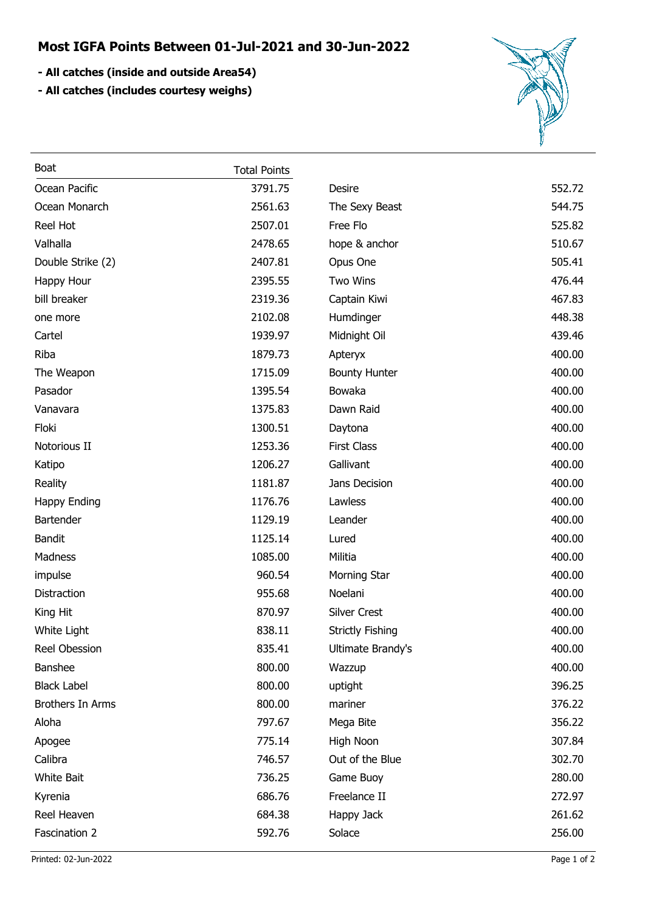## **Most IGFA Points Between 01-Jul-2021 and 30-Jun-2022**

- **All catches (inside and outside Area54)**
- **All catches (includes courtesy weighs)**



| Boat                    | <b>Total Points</b> |                         |        |
|-------------------------|---------------------|-------------------------|--------|
| Ocean Pacific           | 3791.75             | Desire                  | 552.72 |
| Ocean Monarch           | 2561.63             | The Sexy Beast          | 544.75 |
| Reel Hot                | 2507.01             | Free Flo                | 525.82 |
| Valhalla                | 2478.65             | hope & anchor           | 510.67 |
| Double Strike (2)       | 2407.81             | Opus One                | 505.41 |
| Happy Hour              | 2395.55             | <b>Two Wins</b>         | 476.44 |
| bill breaker            | 2319.36             | Captain Kiwi            | 467.83 |
| one more                | 2102.08             | Humdinger               | 448.38 |
| Cartel                  | 1939.97             | Midnight Oil            | 439.46 |
| Riba                    | 1879.73             | Apteryx                 | 400.00 |
| The Weapon              | 1715.09             | <b>Bounty Hunter</b>    | 400.00 |
| Pasador                 | 1395.54             | Bowaka                  | 400.00 |
| Vanavara                | 1375.83             | Dawn Raid               | 400.00 |
| Floki                   | 1300.51             | Daytona                 | 400.00 |
| Notorious II            | 1253.36             | <b>First Class</b>      | 400.00 |
| Katipo                  | 1206.27             | Gallivant               | 400.00 |
| Reality                 | 1181.87             | Jans Decision           | 400.00 |
| <b>Happy Ending</b>     | 1176.76             | Lawless                 | 400.00 |
| Bartender               | 1129.19             | Leander                 | 400.00 |
| <b>Bandit</b>           | 1125.14             | Lured                   | 400.00 |
| Madness                 | 1085.00             | Militia                 | 400.00 |
| impulse                 | 960.54              | Morning Star            | 400.00 |
| Distraction             | 955.68              | Noelani                 | 400.00 |
| King Hit                | 870.97              | <b>Silver Crest</b>     | 400.00 |
| White Light             | 838.11              | <b>Strictly Fishing</b> | 400.00 |
| Reel Obession           | 835.41              | Ultimate Brandy's       | 400.00 |
| Banshee                 | 800.00              | Wazzup                  | 400.00 |
| <b>Black Label</b>      | 800.00              | uptight                 | 396.25 |
| <b>Brothers In Arms</b> | 800.00              | mariner                 | 376.22 |
| Aloha                   | 797.67              | Mega Bite               | 356.22 |
| Apogee                  | 775.14              | High Noon               | 307.84 |
| Calibra                 | 746.57              | Out of the Blue         | 302.70 |
| <b>White Bait</b>       | 736.25              | Game Buoy               | 280.00 |
| Kyrenia                 | 686.76              | Freelance II            | 272.97 |
| Reel Heaven             | 684.38              | Happy Jack              | 261.62 |
| Fascination 2           | 592.76              | Solace                  | 256.00 |